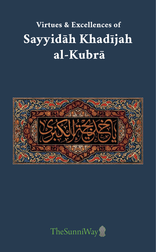## Virtues & Excellences of Sayyidah Khadījah al-Kubrā



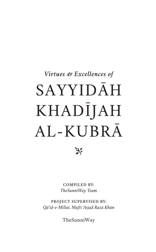## SAYYIDĀH KHADĪJAH AL-KUBRĀ *Virtues & Excellences of*



**COMPILED BY:** *TheSunniWay Team*

**PROJECT SUPERVISED BY:** *Qāʾid-e-Millat, Muftī* ʿ*Asjad Razā Khān*

TheSunniWay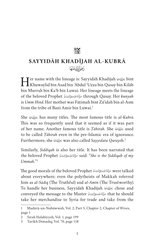## $\mathbb{Z}$

## **SAYYIDĀH KHADĪJAH AL-KUBRĀ** (َضِحَالَلَّهُ عَنَهَا

 $\prod$ er name with the lineage is: Sayyidāh Khadījah  $\mathbb{C}$ bint Khuwaylid bin Asad bin ʿAbdul ʿUzza bin Qusay bin Kilāb bin Murrah bin Kaʾb bin Luwai. Her lineage meets the lineage of the beloved Prophet G through Qusay. Her *kunyah* is *Umm Hind*. Her mother was Fāṭimah bint Zāʾidah bin al-Asm from the tribe of Banī Amir bin Luwai.<sup>1</sup>

She J has many titles. The most famous title is *al-Kubrā*. This was so frequently used that it seemed as if it was part of her name. Another famous title is *Tāhirah*. She *فَأَنْتُجْتَهَا* used to be called *Ṭāhirah* even in the pre-Islamic era of ignorance. Furthermore, she J was also called *Sayyidatu Qurays*h.2

Similarly, *Ṣiddīqah* is also her title. It has been narrated that the beloved Prophet G said: "*She is the Ṣiddīqah of my Ummah.*"3

Were talked صَلَالَةَ عَلَيْهِ وَعَايَا لِإِدْوَسَلَّهُ The good morals of the beloved Prophet about everywhere; even the polytheists of Makkah referred him as *al-Sādiq* (The Truthful) and *al-Amīn* (The Trustworthy). To handle her business, Sayyidāh Khadījah  $\mathcal P$  chose and conveyed the message to the Master حَزَاللَّهُ عَلَيْهِ وَعَايَا لِلْهِ وَسَلَّمَ Ehat he should take her merchandise to Syria for trade and take from the

<sup>1</sup> Madārij-un-Nubūwwah, Vol. 2, Part 5, Chapter 2, Chapter of Wives, page 1

<sup>2</sup> Sīrah Halabiyyah, Vol. 1, page 199

<sup>3</sup> Tarīkh Dimashq, Vol. 70, page 118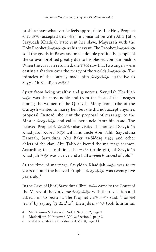G accepted this offer in consultation with Abū Ṭālib. profit a share whatever he feels appropriate. The Holy Prophet Sayyidāh Khadījah الحَقِيَّة sent her slave, Maysarah with the صَأَلَانَةَ عَلَيْهِ وَعَاَلِهِ وَسَلَّرَ as his servant. The Prophet صَأَلَانَةَ عَلَيْهِ وَعَاَلِهِ وَسَلَّرَ Holy Prophet sold the goods in Basra and made double profit. The people of the caravan profited greatly due to his blessed companionship. When the caravan returned, she  $\mathbb{Z}$  saw that two angels were casting a shadow over the mercy of the worlds  $\tilde{\mathcal{L}}$ . She miracles of the journey made him حَإِلَانَهُ عَلَيْهِ وَيَا إِلَيْهِ مَسْلَمَ الْكَافِيَةِ وَعَا إِلَيْهِ وَسَ Sayyidāh Khadījah J. 4

Apart from being wealthy and generous, Sayyidāh Khadījah J was the most noble and from the best of the lineages among the women of the Quraysh. Many from tribe of the Quraysh wanted to marry her, but she did not accept anyone's proposal. Instead, she sent the proposal of marriage to the Master حَزَاللَّهُ مَنَارَ and called her uncle ʿAmr bin Asad. The beloved Prophet حَزَاللَّهُ عَلَيْهِ وَعَايَاتِهِ وَسَنَّرَ beloved Prophet Khadījatul Kubrā کَایَة with his uncle Abū Țālib, Sayyidunā Ḥamzah, Sayyidunā Abū Bakr as-Ṣiddīq I and other chiefs of the clan. Abū Ṭālib delivered the marriage sermon. According to a tradition, the *mahr* (bride gift) of Sayyidāh Khadījah  $\mathcal{F}$  was twelve and a half *awqiah* (ounces) of gold.<sup>5</sup>

At the time of marriage, Sayyidāh Khadījah رَحْقَةَ was forty years old and the beloved Prophet حَأَلِللَّهُ عَلَيْهِ وَعَايَا آبِهِ وَسَلَّرَ years old and the beloved Prophet years old.<sup>6</sup>

In the Cave of Ḥiraʾ, Sayyidunā Jibrīl عَبْدَالسَّلَامُ came to the Court of the Mercy of the Universe حَزَاللَّهُ عَيْدِوَعَإِلاِّهِ وَسَلَّمَ the Mercy of the Universe asked him to recite it. The Prophet G said: "*I do not recite"* by saying "ماأنابقارئ". Then Jibrīl تَيُّالِقَادَة "by saying"

<sup>4</sup> Madārij-un-Nubūwwah, Vol. 1, Section 2, page 2

<sup>5</sup> Madārij-un-Nubūwwah, Vol. 2, Section 2, page 2

<sup>6</sup> al-Tabaqāt al-Kubrā by ibn Sā'd, Vol. 8, page 13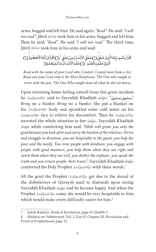arms, hugged and left him. He said again: "*Read*". He said: "*I will not read*". Jibrīl الخَيْعَة took him in his arms, hugged and left him. Then he said: "*Read*". He said "*I will not read.*" The third time, Jibrīl مَلِيَعاتِكُمْ took him in his arms and said:

ٳقُرَأْ بِٱسْوِرَتِكَ الَّذِينُ خَذَيْنَ ( إِٓ) خَذَى الْاِنْسَانَ مِنْ عَلَقٍ ۚ (إِّ } إقْرَأْ وَرَبُّكَ الْاَكْرَهُ ( إِٓ ) ُ ֦֧<u>֓</u> ا<br>أ **a** َ ا<br>أ َ ْ َ ؚ<br>; َْ ا<br>أ َ ََ ؚ<br>ا َ ֧֧֦֧֖֖֖֧֚֚֚֚֚֚֚֝֝֬֓֡֓֓֡֓֓֡֬֓֓<u>֓</u> ֦֧<u>֚</u> َ ْْ َ ់<br>៖ الَّذِیۡ مَلَّـۃ بِاۡلُقَلَـهِ ۙ ( ۚٓ)ٖ عَلَّـۃ الۡاِنۡسَانَۖ مَاۤ لَـٰۃ یَـۡفَـلَـۃَ( ۚ ۗ<br>الَّذِیۡ عَلَّـۃ بِاۡلُقَلَـهِ ۙ ( ۚ ٓ) عَلَّـۃ الۡاِنۡسَانَۖ مَاۤ لَـٰۃ یَـۡفَـلَـۃَ( ۚ ؚ<br>، َ َ َْ ا<br>ا '<br>י ֖֖֧֪֪֪֪ׅ֧֧֚֚֚֚֚֚֚֚֚֚֚֚֚֚֚֚֚֚֚֚֚֚֚֚֚֡֝֝֝֝֟֓֡֟֓֡֟֓֡֟֓֡֟֓֡֟֓֝֬֝֬ َ ؚ<br>ؙ َ ْ ا<br>: ֧֧֧֧֧֧֦֧֧֧֧֧֧֧֧֧֧֧ׅ֧֧֧֧֧֧֧֧֚֚֚֚֚֚֚֚֚֚֚֚֚֚֚֚֚֚֚֚֚֚֚֚֚֓֓֓֡֓֓֡֓֓֓֓֓֓֝֬֓֓֓֓֓֓֝֬֝֬֝֬֝֬֝֬֜֓֝֬֝֬֝֬֝֬֝֬֝֬<br>֧֧֪֪֪֪֪֪֪֪֪֪֪֪֪֪֜ َ ا<br>: ֦֧֧֧֧֪֧֪֧֪֪֪֛֧֟֟֓֟֓֟֓֟֓֟֓֝֬֝֓֝֬֝֬֝֬֝֓֝֬֝֬֝֓֟֝֬֝֬֝֓֝֬֝֬֝֬֝֓֝֬֝֓<del>֛</del>

*Read with the name of your Lord who Created, Created man from a clot. Read and your Lord only is the Most Beneficent, The One who taught to write with the pen. The One Who taught man all what he did not know.* 

Upon returning home feeling unwell from this great incident, he مَأَلِّقَنَانِيَوْعَالَاوِيَنَةُمْ said to Sayyidāh Khadījah (مَأَلِّقَنَانِيوْعَالَاوِيَنَةُمْ عَلَيْهِ *Bring me a blanket. Bring me a blanket*. She put a blanket on صَأَلَانَةَ عَلَيْدِوَغَاْ آلِدِوَسَلَرَ face to relieve his discomfort. Then he صَأَلِلَةَ عَلَيْدِوَغَاْ آلِدِوَسَلَرَ his صَرَالَةَ عَلَيْهِ وَعَالَاهِ وَسَلَّرَ body and sprinkled some cold water on his narrated the whole situation to her J. Sayyidāh Khadījah J while comforting him said, "*Allāh will grant you only the good because you look after and carry the burden of the relatives. Strive and struggle in devotion, you are hospitable to the guest; you help the poor and the needy. You treat people with kindness, you engage with people with good manners, you help them when they are right and avoid them when they are evil, you shelter the orphans, you speak the truth and you return people, their trusts"*. Sayyidāh Khadījah J comforted the Holy Prophet صَوَّاللَهِ وَسَلَّهُ Comforted the Holy Prophet

All the grief the Prophet صَلَالَةَ عَلَيْهِ وَعَلَا الْاِدِيَسَةً، All the grief the Prophet the disbelievers of Quraysh used to diminish upon seeing Sayyidāh Khadījah الحَمَّة and he became happy. And when the Prophet G came, she would be very hospitable to him, which would make every difficulty easier for him.<sup>8</sup>

<sup>7</sup> Ṣaḥīḥ Bukhāri, Book of Revelation, page 65, Ḥadīth 3

<sup>8</sup> Madārij-un-Nubūwwah, Vol. 2, Part II, Chapter III, Revelation and Proof of Prophethood, page 32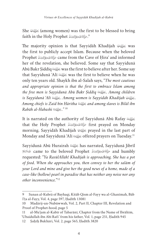She الْحَمَلِيَّةَ (among women) was the first to be blessed to bring faith in the Holy Prophet مَوَّالَالِهِوَسَلَّرَ faith in the Holy Prophet

The majority opinion is that Sayyidah Khadījah  $\mathcal{L}$  was the first to publicly accept Islam. Because when the beloved Prophet حَزَاللَّهُ عَلَيْهِ وَعَالَا لِهِ وَسَلَّهِ  $\zeta$ ame from the Cave of Ḥira $\zeta$  and informed her of the revelation, she believed. Some say that Sayyidunā Abū Bakr Siddīq الحَلَّقَة was the first to believe after her. Some say that Sayyidunā ʿAlī الحَقَقَة was the first to believe when he was only ten years old. Shaykh ibn al-Salah says, "*The most cautious and appropriate opinion is that the first to embrace Islam among the free men is Sayyidunā Abū Bakr Ṣiddīq* I*. Among children is Sayyidunā ʿAlī* I*. Among women is Sayyidāh Khadījah* J*. Among chiefs is Zaid bin Hāritha* I *and among slaves is Bilāl ibn Rabāh al-Habashi* I*."* <sup>10</sup>

It is narrated on the authority of Sayyidunā Abū Rafay that the Holy Prophet صَلَاللَهُ وَعَالَا اِوَتِسَلَّمَ tirst prayed on Monday morning. Sayyidāh Khadījah  $\mathcal{L}$  prayed in the last part of Monday and Sayyidunā ʿAlī (الحَقِيَّة offered prayers on Tuesday.<sup>11</sup>

Sayyidunā Abū Hurairah رَحَوْلَ has narrated, Sayyidunā Jibrīl and humbly صَزَاللَّهُ عَيْدِهِ وَعَايَالِهِ وَسَلَّرَ oame to the beloved Prophet عَلَيْهِ السَّلَامُ requested: "*Ya RasūlAllāh! Khadījah is approaching. She has a pot of food. When she approaches you, then convey to her the salām of your Lord and mine and give her the good news of a home, made of a case-like (hollow) pearl in paradise that has neither any noise nor any other inconvenience.*"12

<sup>9</sup> Sunan al-Kubrā of Bayhaqi, Kitāb Qism al-Fayy wa al-Ghanīmah, Bāb I'ṭa al-Fayy, Vol. 4, page 597, Ḥadīth 13081

<sup>10</sup> Madārij-un-Nubūwwah, Vol. 2, Part II, Chapter III, Revelation and Proof of Prophet-hood, page 5

<sup>11</sup> al-Muʾjam al-Kabīr of Tabarānī, Chapter from the Name of Ibrāhīm, ʿUbaidullah ibn Abī Rafi' from his father, Vol. 1, page 251, Ḥadīth 945

<sup>12</sup> Ṣaḥīḥ Bukhāri, Vol. 2, page 565, Ḥadīth 3820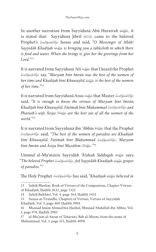In another narration from Sayyidunā Abū Hurairah (الحَقِيَّة:, it is stated that: Sayyidunā Jibrīl عَيْمِالسَّلَامُ came to the beloved Prophet's G house and said, "*O Messenger of Allāh! Sayyidāh Khadījah* J *is bringing you a tablecloth in which there is food and water. When she brings it, give her the greetings from her Lord.*"13

G say, "*Maryam bint Imrān was the best of the women of*  It is narrated from Sayyidunā 'Alī  $\mathbb{Z}$  that I heard the Prophet *her time and Khadījah bint Khuwaylid* J *is the best of the women of her time.*"14

مَّأَلَةَمْ فَيَادِوَعَاْ آلِهِ وَسَلَّهِ that Master رَضِيَّلِّهُ عَنْهُ Anas (sifted from Sayyidunā Anas said, "*It is enough to know the virtues of Maryam bint Imrān, Khadījah bint Khuwaylid, Fāṭimah bint Muḥammad* G *and Pharaoh's wife Āsiya* K *are the best out of all the women of the world.*"15

G said, "*The best of the women of paradise are Khadījah*  It is narrated from Sayyidunā ibn 'Abbās  $\mathbb{E}$  that the Prophet *bint Khuwaylid, Fāṭimah bint Muḥammad* G*, Maryam bint Imrān and Āsiya bint Mazāhim* K."16

Ummul al-Muʾminīn Sayyidāh ʿĀʾishah Ṣiddīqah J says, "*The beloved Prophet* G*, fed Sayyidāh Khadījah* J *grapes of paradise.*"17

The Holy Prophet G has said, "*Khadījah* J *believed in* 

<sup>13</sup> Ṣaḥīḥ Muslim, Book of Virtues of the Companions, Chapter Virtues of Khadijāh, Ḥadīth 2632, page 1322

<sup>14</sup> Ṣaḥīḥ Bukhāri, Vol. 4, page 164, Ḥadīth 3432

<sup>15</sup> Sunan at-Tirmidhī, Chapters of Virtues, Virtues of Sayyidāh Khadijāh, Vol. 5, page 469, Ḥadīth 3904

<sup>16</sup> Musnad Imām Ahmad bin Ḥanbal, Musnad ʿAbdullah ibn ʿAbbās, Vol. 1, page 978, Ḥadīth 2903

<sup>17</sup> al-Muʾjam al-Awsat of Tabarānī, Bāb al-Meem, from the name of Muhammad, Vol. 3, page 315, Ḥadīth 4098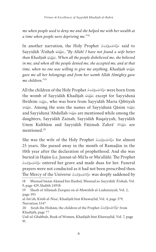*me when people used to deny me and she helped me with her wealth at a time when people were depriving me.*"18

In another narration, the Holy Prophet صَالَةَ الْمَنْعَائِدِ وَكَالِدِ وَسَلَّرَ Sayyidāh ʿĀʾishah J, "*By Allāh! I have not found a wife better than Khadījah* J*. When all the people disbelieved me, she believed in me, and when all the people denied me, she accepted me, and at that time, when no one was willing to give me anything, Khadījah* J *gave me all her belongings and from her womb Allāh Almighty gave me children.*"19

All the children of the Holy Prophet G were born from the womb of Sayyidāh Khadījah رَوَنَائِيَّة except for Sayyidunā Ibrāhīm رَضَيَائِمَة, who was born from Sayyidāh Maria Qibtiyah J. Among the sons the names of Sayyidunā Qāsim I and Sayyidunā ʿAbdullah I are mentioned while among the daughters, Sayyidāh Zainab, Sayyidāh Ruqaiyyah, Sayyidāh Umm Kulthūm and Sayyidāh Fāṭimah Zahrā<sup>'</sup> فَلِلْكَنَاءُ Umm mentioned.20

She was the wife of the Holy Prophet كَالِكَانِدُوْتَالِكَابِدِوْتَالِ She was the wife of the Holy Prophet 25 years. She passed away in the month of Ramaḍān in the 10th year after the declaration of prophethood. And she was entered her grave and made duas for her. Funeral حَزَّانَةَعْنَدِوَعَاْرَادِوَسَلَّرَ buried in Hajūn (i.e. Jannat-ul-Māʿla or Muʿallāh). The Prophet prayers were not conducted as it had not been prescribed then. The Mercy of the Universe صَلَالَةَ عَلَيْهِ وَعَايَا لِإِدِيَسَةً، The Mercy of the Universe

<sup>18</sup> Musnad Imām Ahmad bin Hanbal, Musnad as-Sayyidāh ʿĀʾishah, Vol. 9, page 429, Ḥadīth 24918

<sup>19</sup> Sharh of Allāmah Zurqāni on al-Mawāhib al-Ludunniyah, Vol. 2, page 393

al-Isti'ab, Kitāb al-Nisaʾ, Khadijāh bint Khuwaylid, Vol. 4, page 379, Narration 3347

<sup>20</sup> Sirah ibn Hishām, the children of the Prophet صَأَلِلَهُ عَلَيْهِ وَعَإِيّ آلِهِ وَسَلَّرَ £10 Khadijāh, page 77

Usd-ul-Ghabbah, Book of Women, Khadijāh bint Khuwaylid, Vol. 7, page 91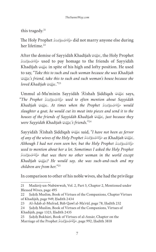this tragedy. $21$ 

The Holy Prophet صَأَلِقَهُ عَلَيْهِ وَعَيْلَاهِ وَسَلَّرَ The Holy Prophet her lifetime.<sup>22</sup>

After the demise of Sayyidāh Khadījah J, the Holy Prophet used to pay homage to the friends of Sayyidāh صَأَلِقَةَعَلَيْدِوَعَاْلِكِوتِسَلَّرَ Khadījah  $\mathcal{F}$  in spite of his high and lofty position. He used to say, "*Take this to such and such woman because she was Khadījah*  J*'s friend, take this to such and such woman's house because she loved Khadījah* J*.*"23

Ummul al-Mu'minīn Sayyidāh 'Ā'ishah Şiddīqah الحَقِيَّة says, "*The Prophet* G *used to often mention about Sayyidāh Khadījah* J*. At times when the Prophet* G *would slaughter a goat, he would cut its meat into pieces and send it to the houses of the friends of Sayyidāh Khadījah* J*, just because they were Sayyidāh Khadījah* J*'s friends.*"24

Sayyidāh ʿĀʾishah Ṣiddīqah J said, "*I have not been as fervor of any of the wives of the Holy Prophet* G *as Khadījah* J*. Although I had not even seen her, but the Holy Prophet*  G *used to mention about her a lot. Sometimes I asked the Holy Prophet*  G *that was there no other woman in the world except Khadījah* J*? He would say, she was such-and-such and my children are from her.*"25

In comparison to other of his noble wives, she had the privilege

<sup>21</sup> Madārij-un-Nubūwwah, Vol. 2, Part 5, Chapter 2, Mentioned under Blessed Wives, page 495

<sup>22</sup> Ṣaḥīḥ Muslim, Book of Virtues of the Companions, Chapter Virtues of Khadijāh, page 949, Ḥadīth 2434

<sup>23</sup> Al-Ādab al-Mufrad, Bāb Qawl al-Maʿrūf, page 78, Ḥadīth 232

<sup>24</sup> Ṣaḥīḥ Muslim, Book of Virtues of the Companions, Virtues of Khadijāh, page 1323, Ḥadīth 2435

<sup>25</sup> Ṣaḥīḥ Bukhāri, Book of Virtues of al-Ansār, Chapter on the Marriage of the Prophet (صَوَّالَلَهُ عَلَيْهِ وَعَايَا آلِهِ وَسَلَّمَ Marriage of the Prophet